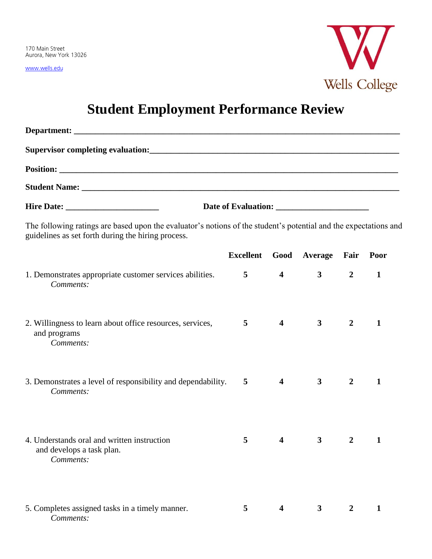www.wells.edu



## **Student Employment Performance Review**

| The following ratings are based upon the evaluator's notions of the student's potential and the expectations and<br>guidelines as set forth during the hiring process. |                |                         |                                  |                |              |  |
|------------------------------------------------------------------------------------------------------------------------------------------------------------------------|----------------|-------------------------|----------------------------------|----------------|--------------|--|
|                                                                                                                                                                        |                |                         | Excellent Good Average Fair Poor |                |              |  |
| 1. Demonstrates appropriate customer services abilities.<br>Comments:                                                                                                  | 5 <sup>5</sup> | $\overline{4}$          | $\mathbf{3}$                     | $\overline{2}$ | $\mathbf{1}$ |  |
| 2. Willingness to learn about office resources, services,<br>and programs<br>Comments:                                                                                 | 5              | $\overline{\mathbf{4}}$ | $\mathbf{3}$                     | $\overline{2}$ | 1            |  |
| 3. Demonstrates a level of responsibility and dependability.<br>Comments:                                                                                              | 5              | $\overline{\mathbf{4}}$ | $\mathbf{3}$                     | $\overline{2}$ | 1            |  |
| 4. Understands oral and written instruction<br>and develops a task plan.<br>Comments:                                                                                  |                | $5 \qquad \qquad 4$     | $\mathbf{3}$                     |                | $2 \quad 1$  |  |
| 5. Completes assigned tasks in a timely manner.<br>Comments:                                                                                                           | 5              | 4                       | 3                                | $\overline{2}$ | $\mathbf{1}$ |  |